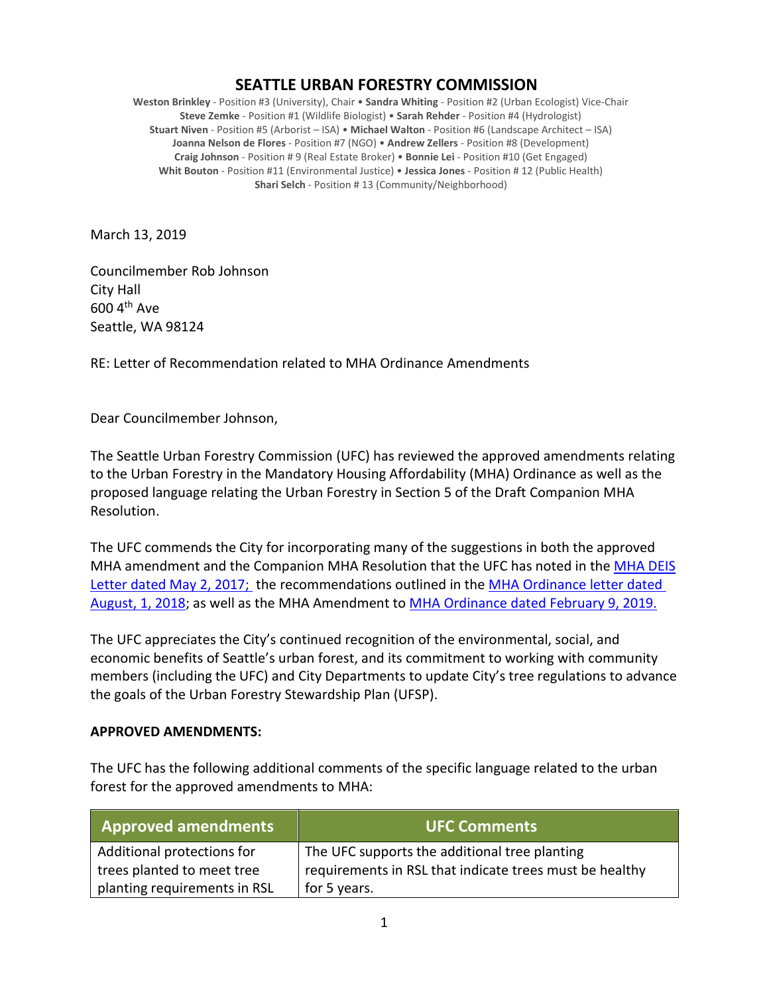## **SEATTLE URBAN FORESTRY COMMISSION**

**Weston Brinkley** - Position #3 (University), Chair • **Sandra Whiting** - Position #2 (Urban Ecologist) Vice-Chair **Steve Zemke** - Position #1 (Wildlife Biologist) • **Sarah Rehder** - Position #4 (Hydrologist) **Stuart Niven** - Position #5 (Arborist – ISA) • **Michael Walton** - Position #6 (Landscape Architect – ISA) **Joanna Nelson de Flores** - Position #7 (NGO) • **Andrew Zellers** - Position #8 (Development) **Craig Johnson** - Position # 9 (Real Estate Broker) • **Bonnie Lei** - Position #10 (Get Engaged) **Whit Bouton** - Position #11 (Environmental Justice) • **Jessica Jones** - Position # 12 (Public Health) **Shari Selch** - Position # 13 (Community/Neighborhood)

March 13, 2019

Councilmember Rob Johnson City Hall  $600$  4<sup>th</sup> Ave Seattle, WA 98124

RE: Letter of Recommendation related to MHA Ordinance Amendments

Dear Councilmember Johnson,

The Seattle Urban Forestry Commission (UFC) has reviewed the approved amendments relating to the Urban Forestry in the Mandatory Housing Affordability (MHA) Ordinance as well as the proposed language relating the Urban Forestry in Section 5 of the Draft Companion MHA Resolution.

The UFC commends the City for incorporating many of the suggestions in both the approved MHA amendment and the Companion MHA Resolution that the UFC has noted in the [MHA DEIS](http://www.seattle.gov/Documents/Departments/UrbanForestryCommission/FinalIssuedDocuments/Recommendations/ADOPTEDMHAEISRecommendation080217.pdf) [Letter dated May 2, 2017;](http://www.seattle.gov/Documents/Departments/UrbanForestryCommission/FinalIssuedDocuments/Recommendations/ADOPTEDMHAEISRecommendation080217.pdf) the recommendations outlined in the [MHA Ordinance letter dated](https://www.seattle.gov/Documents/Departments/UrbanForestryCommission/FinalIssuedDocuments/Recommendations/ADOPTEDMHAOrdinanceGreenFactorLetter080118.pdf)  [August, 1, 2018;](https://www.seattle.gov/Documents/Departments/UrbanForestryCommission/FinalIssuedDocuments/Recommendations/ADOPTEDMHAOrdinanceGreenFactorLetter080118.pdf) as well as the MHA Amendment to [MHA Ordinance dated February](https://www.seattle.gov/Documents/Departments/UrbanForestryCommission/FinalIssuedDocuments/Recommendations/ADOPTEDMHAOrdinanceSMC25.11.090Jan2019.pdf) 9, 2019.

The UFC appreciates the City's continued recognition of the environmental, social, and economic benefits of Seattle's urban forest, and its commitment to working with community members (including the UFC) and City Departments to update City's tree regulations to advance the goals of the Urban Forestry Stewardship Plan (UFSP).

## **APPROVED AMENDMENTS:**

The UFC has the following additional comments of the specific language related to the urban forest for the approved amendments to MHA:

| <b>Approved amendments</b>   | <b>UFC Comments</b>                                     |
|------------------------------|---------------------------------------------------------|
| Additional protections for   | The UFC supports the additional tree planting           |
| trees planted to meet tree   | requirements in RSL that indicate trees must be healthy |
| planting requirements in RSL | for 5 years.                                            |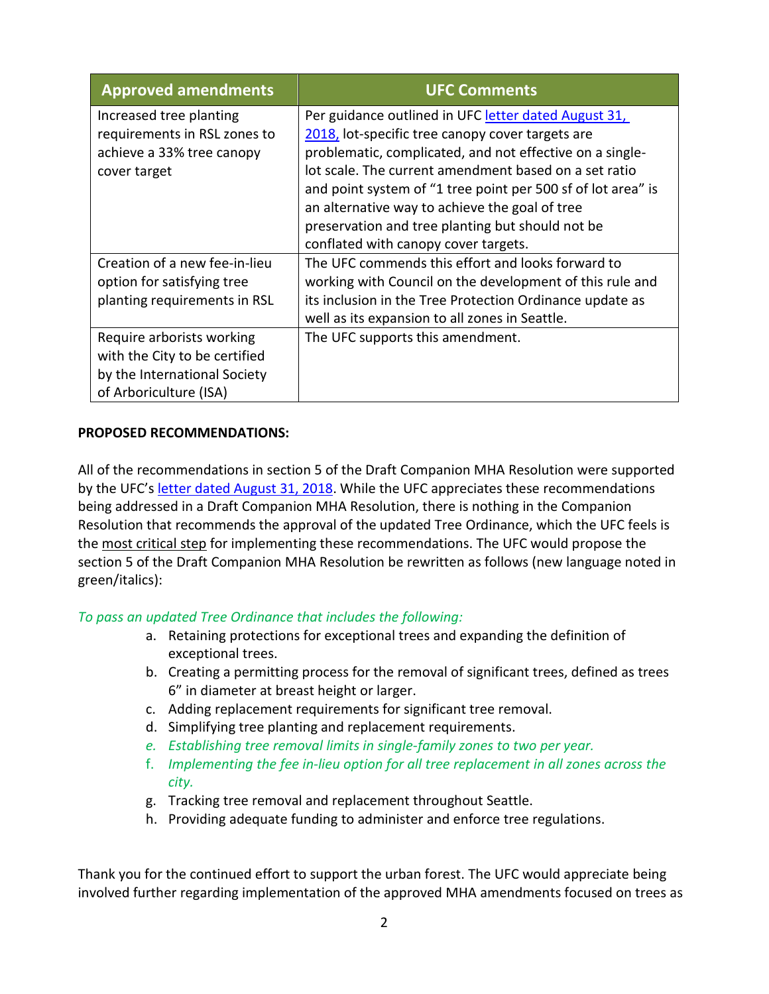| <b>Approved amendments</b>                                                                                           | <b>UFC Comments</b>                                                                                                                                                                                                                                                                                                                                                                                                                         |
|----------------------------------------------------------------------------------------------------------------------|---------------------------------------------------------------------------------------------------------------------------------------------------------------------------------------------------------------------------------------------------------------------------------------------------------------------------------------------------------------------------------------------------------------------------------------------|
| Increased tree planting<br>requirements in RSL zones to<br>achieve a 33% tree canopy<br>cover target                 | Per guidance outlined in UFC letter dated August 31,<br>2018, lot-specific tree canopy cover targets are<br>problematic, complicated, and not effective on a single-<br>lot scale. The current amendment based on a set ratio<br>and point system of "1 tree point per 500 sf of lot area" is<br>an alternative way to achieve the goal of tree<br>preservation and tree planting but should not be<br>conflated with canopy cover targets. |
| Creation of a new fee-in-lieu<br>option for satisfying tree<br>planting requirements in RSL                          | The UFC commends this effort and looks forward to<br>working with Council on the development of this rule and<br>its inclusion in the Tree Protection Ordinance update as<br>well as its expansion to all zones in Seattle.                                                                                                                                                                                                                 |
| Require arborists working<br>with the City to be certified<br>by the International Society<br>of Arboriculture (ISA) | The UFC supports this amendment.                                                                                                                                                                                                                                                                                                                                                                                                            |

## **PROPOSED RECOMMENDATIONS:**

All of the recommendations in section 5 of the Draft Companion MHA Resolution were supported by the UFC's [letter dated August 31, 2018.](http://www.seattle.gov/Documents/Departments/UrbanForestryCommission/FinalIssuedDocuments/Recommendations/ADOPTEDLetterTreeOrd083118.pdf) While the UFC appreciates these recommendations being addressed in a Draft Companion MHA Resolution, there is nothing in the Companion Resolution that recommends the approval of the updated Tree Ordinance, which the UFC feels is the most critical step for implementing these recommendations. The UFC would propose the section 5 of the Draft Companion MHA Resolution be rewritten as follows (new language noted in green/italics):

*To pass an updated Tree Ordinance that includes the following:* 

- a. Retaining protections for exceptional trees and expanding the definition of exceptional trees.
- b. Creating a permitting process for the removal of significant trees, defined as trees 6" in diameter at breast height or larger.
- c. Adding replacement requirements for significant tree removal.
- d. Simplifying tree planting and replacement requirements.
- *e. Establishing tree removal limits in single-family zones to two per year.*
- f. *Implementing the fee in-lieu option for all tree replacement in all zones across the city.*
- g. Tracking tree removal and replacement throughout Seattle.
- h. Providing adequate funding to administer and enforce tree regulations.

Thank you for the continued effort to support the urban forest. The UFC would appreciate being involved further regarding implementation of the approved MHA amendments focused on trees as